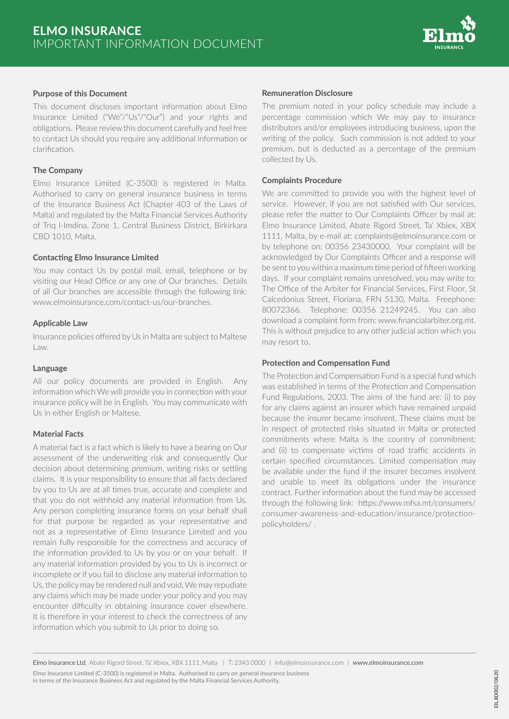

#### **Purpose of this Document**

This document discloses important information about Elmo Insurance Limited ("We"/"Us"/"Our") and your rights and obligations. Please review this document carefully and feel free to contact Us should you require any additional information or clarification.

## **The Company**

Elmo Insurance Limited (C-3500) is registered in Malta. Authorised to carry on general insurance business in terms of the Insurance Business Act (Chapter 403 of the Laws of Malta) and regulated by the Malta Financial Services Authority of Triq l-Imdina, Zone 1, Central Business District, Birkirkara CBD 1010, Malta.

#### **Contacting Elmo Insurance Limited**

You may contact Us by postal mail, email, telephone or by visiting our Head Office or any one of Our branches. Details of all Our branches are accessible through the following link: www.elmoinsurance.com/contact-us/our-branches.

#### **Applicable Law**

Insurance policies offered by Us in Malta are subject to Maltese Law.

#### **Language**

All our policy documents are provided in English. Any information which We will provide you in connection with your insurance policy will be in English. You may communicate with Us in either English or Maltese.

## **Material Facts**

A material fact is a fact which is likely to have a bearing on Our assessment of the underwriting risk and consequently Our decision about determining premium, writing risks or settling claims. It is your responsibility to ensure that all facts declared by you to Us are at all times true, accurate and complete and that you do not withhold any material information from Us. Any person completing insurance forms on your behalf shall for that purpose be regarded as your representative and not as a representative of Elmo Insurance Limited and you remain fully responsible for the correctness and accuracy of the information provided to Us by you or on your behalf. If any material information provided by you to Us is incorrect or incomplete or if you fail to disclose any material information to Us, the policy may be rendered null and void, We may repudiate any claims which may be made under your policy and you may encounter difficulty in obtaining insurance cover elsewhere. It is therefore in your interest to check the correctness of any information which you submit to Us prior to doing so.

#### **Remuneration Disclosure**

The premium noted in your policy schedule may include a percentage commission which We may pay to insurance distributors and/or employees introducing business, upon the writing of the policy. Such commission is not added to your premium, but is deducted as a percentage of the premium collected by Us.

## **Complaints Procedure**

We are committed to provide you with the highest level of service. However, if you are not satisfied with Our services, please refer the matter to Our Complaints Officer by mail at: Elmo Insurance Limited, Abate Rigord Street, Ta' Xbiex, XBX 1111, Malta, by e-mail at: complaints@elmoinsurance.com or by telephone on: 00356 23430000. Your complaint will be acknowledged by Our Complaints Officer and a response will be sent to you within a maximum time period of fifteen working days. If your complaint remains unresolved, you may write to: The Office of the Arbiter for Financial Services, First Floor, St Calcedonius Street, Floriana, FRN 5130, Malta. Freephone: 80072366. Telephone: 00356 21249245. You can also download a complaint form from: www.financialarbiter.org.mt. This is without prejudice to any other judicial action which you may resort to.

#### **Protection and Compensation Fund**

The Protection and Compensation Fund is a special fund which was established in terms of the Protection and Compensation Fund Regulations, 2003. The aims of the fund are: (i) to pay for any claims against an insurer which have remained unpaid because the insurer became insolvent. These claims must be in respect of protected risks situated in Malta or protected commitments where Malta is the country of commitment; and (ii) to compensate victims of road traffic accidents in certain specified circumstances. Limited compensation may be available under the fund if the insurer becomes insolvent and unable to meet its obligations under the insurance contract. Further information about the fund may be accessed through the following link: https://www.mfsa.mt/consumers/ consumer-awareness-and-education/insurance/protectionpolicyholders/ .

in terms of the Insurance Business Act and regulated by the Malta Financial Services Authority.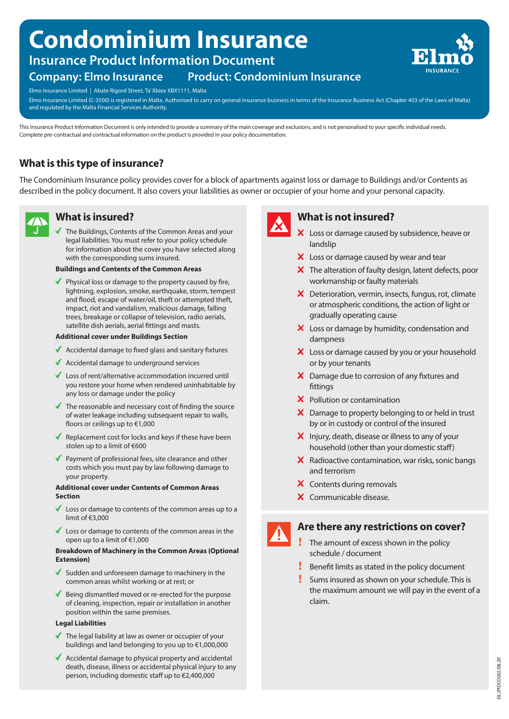# **Condominium Insurance**

# **Insurance Product Information Document**

# **Company: Elmo Insurance Product: Condominium Insurance**



Elmo Insurance Limited | Abate Rigord Street, Ta' Xbiex XBX1111, Malta

Elmo Insurance Limited (C-3500) is registered in Malta. Authorised to carry on general insurance business in terms of the Insurance Business Act (Chapter 403 of the Laws of Malta) and regulated by the Malta Financial Services Authority.

This Insurance Product Information Document is only intended to provide a summary of the main coverage and exclusions, and is not personalised to your specific individual needs. Complete pre-contractual and contractual information on the product is provided in your policy documentation.

# **What is this type of insurance?**

The Condominium Insurance policy provides cover for a block of apartments against loss or damage to Buildings and/or Contents as described in the policy document. It also covers your liabilities as owner or occupier of your home and your personal capacity.



# **What is insured?**

The Buildings, Contents of the Common Areas and your legal liabilities. You must refer to your policy schedule for information about the cover you have selected along with the corresponding sums insured.

#### **Buildings and Contents of the Common Areas**

 $\blacktriangleright$  Physical loss or damage to the property caused by fire, lightning, explosion, smoke, earthquake, storm, tempest and flood, escape of water/oil, theft or attempted theft, impact, riot and vandalism, malicious damage, falling trees, breakage or collapse of television, radio aerials, satellite dish aerials, aerial fittings and masts.

#### **Additional cover under Buildings Section**

- $\triangleleft$  Accidental damage to fixed glass and sanitary fixtures
- $\blacklozenge$  Accidental damage to underground services
- ◆ Loss of rent/alternative accommodation incurred until you restore your home when rendered uninhabitable by any loss or damage under the policy
- $\blacklozenge$  The reasonable and necessary cost of finding the source of water leakage including subsequent repair to walls, floors or ceilings up to €1,000
- Replacement cost for locks and keys if these have been stolen up to a limit of €600
- Payment of professional fees, site clearance and other costs which you must pay by law following damage to your property.

#### **Additional cover under Contents of Common Areas Section**

- Loss or damage to contents of the common areas up to a limit of €3,000
- $\blacklozenge$  Loss or damage to contents of the common areas in the open up to a limit of €1,000

#### **Breakdown of Machinery in the Common Areas (Optional Extension)**

- Sudden and unforeseen damage to machinery in the common areas whilst working or at rest; or
- Being dismantled moved or re-erected for the purpose of cleaning, inspection, repair or installation in another position within the same premises.

#### **Legal Liabilities**

- $\blacktriangledown$  The legal liability at law as owner or occupier of your buildings and land belonging to you up to €1,000,000
- Accidental damage to physical property and accidental death, disease, illness or accidental physical injury to any person, including domestic staff up to €2,400,000



# **What is not insured?**

- X Loss or damage caused by subsidence, heave or landslip
- X Loss or damage caused by wear and tear
- $\boldsymbol{\times}$  The alteration of faulty design, latent defects, poor workmanship or faulty materials
- X Deterioration, vermin, insects, fungus, rot, climate or atmospheric conditions, the action of light or gradually operating cause
- X Loss or damage by humidity, condensation and dampness
- X Loss or damage caused by you or your household or by your tenants
- X Damage due to corrosion of any fixtures and fittings
- $\boldsymbol{\times}$  Pollution or contamination
- $\boldsymbol{\times}$  Damage to property belonging to or held in trust by or in custody or control of the insured
- $\boldsymbol{\times}$  Injury, death, disease or illness to any of your household (other than your domestic staff)
- $\boldsymbol{\times}$  Radioactive contamination, war risks, sonic bangs and terrorism
- X Contents during removals
- X Communicable disease.



# **Are there any restrictions on cover?**

- The amount of excess shown in the policy schedule / document
- Benefit limits as stated in the policy document
- Sums insured as shown on your schedule. This is the maximum amount we will pay in the event of a claim.